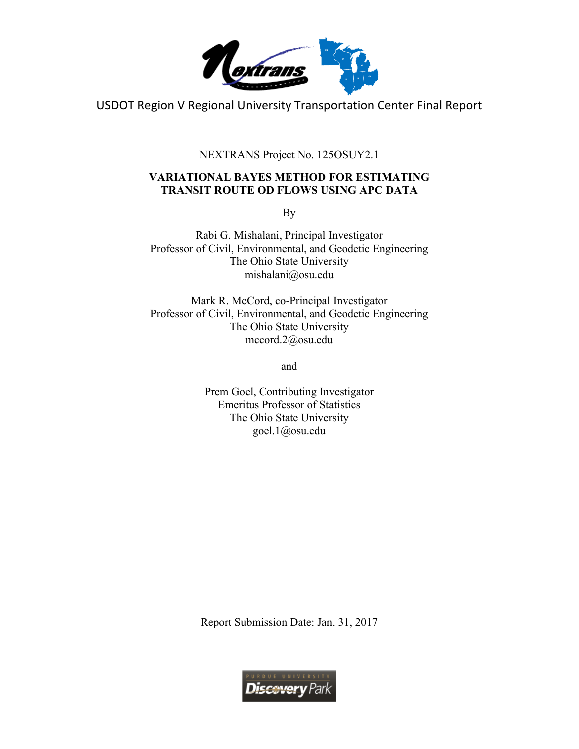

USDOT Region V Regional University Transportation Center Final Report

NEXTRANS Project No. 125OSUY2.1

## **VARIATIONAL BAYES METHOD FOR ESTIMATING TRANSIT ROUTE OD FLOWS USING APC DATA**

By

Rabi G. Mishalani, Principal Investigator Professor of Civil, Environmental, and Geodetic Engineering The Ohio State University mishalani@osu.edu

Mark R. McCord, co-Principal Investigator Professor of Civil, Environmental, and Geodetic Engineering The Ohio State University mccord.2@osu.edu

and

Prem Goel, Contributing Investigator Emeritus Professor of Statistics The Ohio State University goel.1@osu.edu

Report Submission Date: Jan. 31, 2017

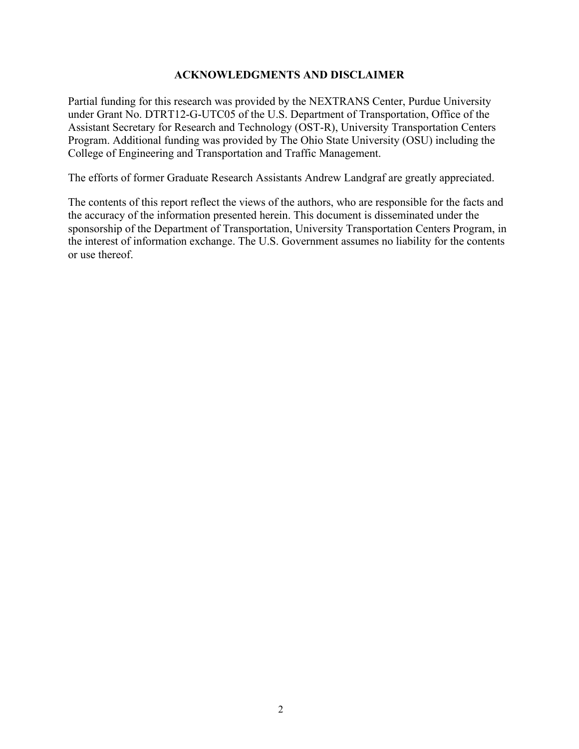#### **ACKNOWLEDGMENTS AND DISCLAIMER**

Partial funding for this research was provided by the NEXTRANS Center, Purdue University under Grant No. DTRT12-G-UTC05 of the U.S. Department of Transportation, Office of the Assistant Secretary for Research and Technology (OST-R), University Transportation Centers Program. Additional funding was provided by The Ohio State University (OSU) including the College of Engineering and Transportation and Traffic Management.

The efforts of former Graduate Research Assistants Andrew Landgraf are greatly appreciated.

The contents of this report reflect the views of the authors, who are responsible for the facts and the accuracy of the information presented herein. This document is disseminated under the sponsorship of the Department of Transportation, University Transportation Centers Program, in the interest of information exchange. The U.S. Government assumes no liability for the contents or use thereof.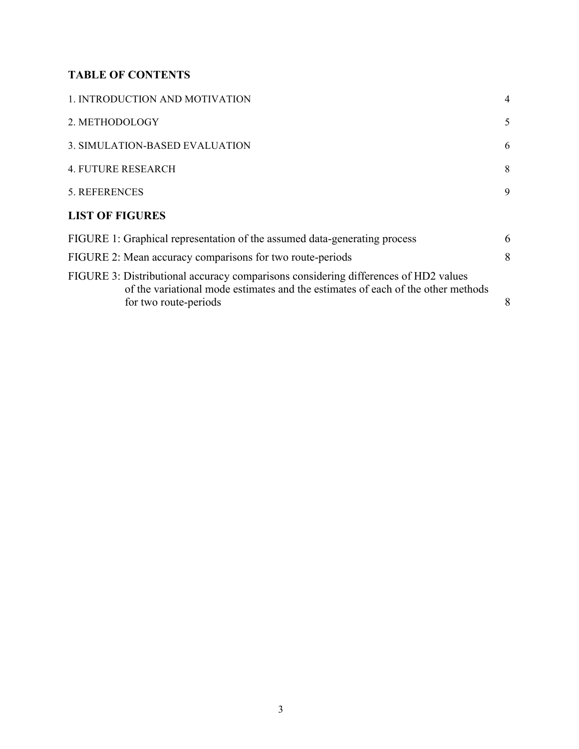# **TABLE OF CONTENTS**

| 1. INTRODUCTION AND MOTIVATION                                                                                                                                                                   | $\overline{4}$ |
|--------------------------------------------------------------------------------------------------------------------------------------------------------------------------------------------------|----------------|
| 2. METHODOLOGY                                                                                                                                                                                   | 5              |
| 3. SIMULATION-BASED EVALUATION                                                                                                                                                                   | 6              |
| <b>4. FUTURE RESEARCH</b>                                                                                                                                                                        | 8              |
| 5. REFERENCES                                                                                                                                                                                    | 9              |
| <b>LIST OF FIGURES</b>                                                                                                                                                                           |                |
| FIGURE 1: Graphical representation of the assumed data-generating process                                                                                                                        | 6              |
| FIGURE 2: Mean accuracy comparisons for two route-periods                                                                                                                                        | 8              |
| FIGURE 3: Distributional accuracy comparisons considering differences of HD2 values<br>of the variational mode estimates and the estimates of each of the other methods<br>for two route-periods | 8              |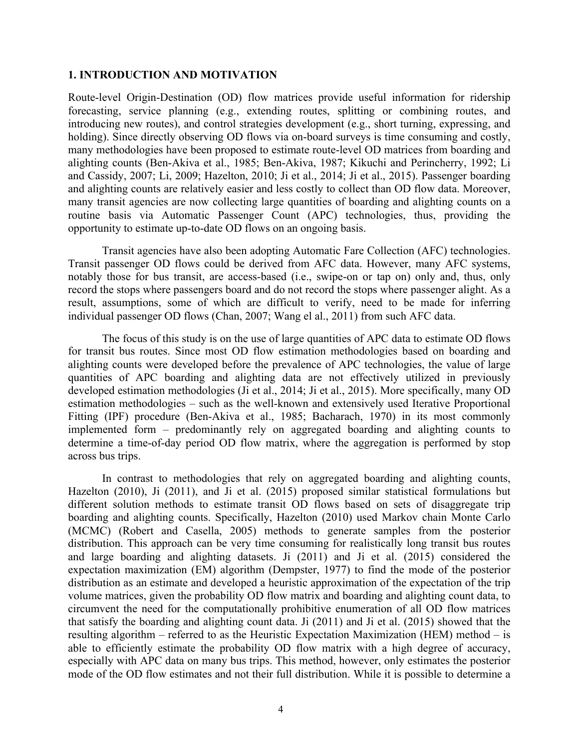#### **1. INTRODUCTION AND MOTIVATION**

Route-level Origin-Destination (OD) flow matrices provide useful information for ridership forecasting, service planning (e.g., extending routes, splitting or combining routes, and introducing new routes), and control strategies development (e.g., short turning, expressing, and holding). Since directly observing OD flows via on-board surveys is time consuming and costly, many methodologies have been proposed to estimate route-level OD matrices from boarding and alighting counts (Ben-Akiva et al., 1985; Ben-Akiva, 1987; Kikuchi and Perincherry, 1992; Li and Cassidy, 2007; Li, 2009; Hazelton, 2010; Ji et al., 2014; Ji et al., 2015). Passenger boarding and alighting counts are relatively easier and less costly to collect than OD flow data. Moreover, many transit agencies are now collecting large quantities of boarding and alighting counts on a routine basis via Automatic Passenger Count (APC) technologies, thus, providing the opportunity to estimate up-to-date OD flows on an ongoing basis.

Transit agencies have also been adopting Automatic Fare Collection (AFC) technologies. Transit passenger OD flows could be derived from AFC data. However, many AFC systems, notably those for bus transit, are access-based (i.e., swipe-on or tap on) only and, thus, only record the stops where passengers board and do not record the stops where passenger alight. As a result, assumptions, some of which are difficult to verify, need to be made for inferring individual passenger OD flows (Chan, 2007; Wang el al., 2011) from such AFC data.

The focus of this study is on the use of large quantities of APC data to estimate OD flows for transit bus routes. Since most OD flow estimation methodologies based on boarding and alighting counts were developed before the prevalence of APC technologies, the value of large quantities of APC boarding and alighting data are not effectively utilized in previously developed estimation methodologies (Ji et al., 2014; Ji et al., 2015). More specifically, many OD estimation methodologies – such as the well-known and extensively used Iterative Proportional Fitting (IPF) procedure (Ben-Akiva et al., 1985; Bacharach, 1970) in its most commonly implemented form – predominantly rely on aggregated boarding and alighting counts to determine a time-of-day period OD flow matrix, where the aggregation is performed by stop across bus trips.

In contrast to methodologies that rely on aggregated boarding and alighting counts, Hazelton (2010), Ji (2011), and Ji et al. (2015) proposed similar statistical formulations but different solution methods to estimate transit OD flows based on sets of disaggregate trip boarding and alighting counts. Specifically, Hazelton (2010) used Markov chain Monte Carlo (MCMC) (Robert and Casella, 2005) methods to generate samples from the posterior distribution. This approach can be very time consuming for realistically long transit bus routes and large boarding and alighting datasets. Ji (2011) and Ji et al. (2015) considered the expectation maximization (EM) algorithm (Dempster, 1977) to find the mode of the posterior distribution as an estimate and developed a heuristic approximation of the expectation of the trip volume matrices, given the probability OD flow matrix and boarding and alighting count data, to circumvent the need for the computationally prohibitive enumeration of all OD flow matrices that satisfy the boarding and alighting count data. Ji (2011) and Ji et al. (2015) showed that the resulting algorithm – referred to as the Heuristic Expectation Maximization (HEM) method – is able to efficiently estimate the probability OD flow matrix with a high degree of accuracy, especially with APC data on many bus trips. This method, however, only estimates the posterior mode of the OD flow estimates and not their full distribution. While it is possible to determine a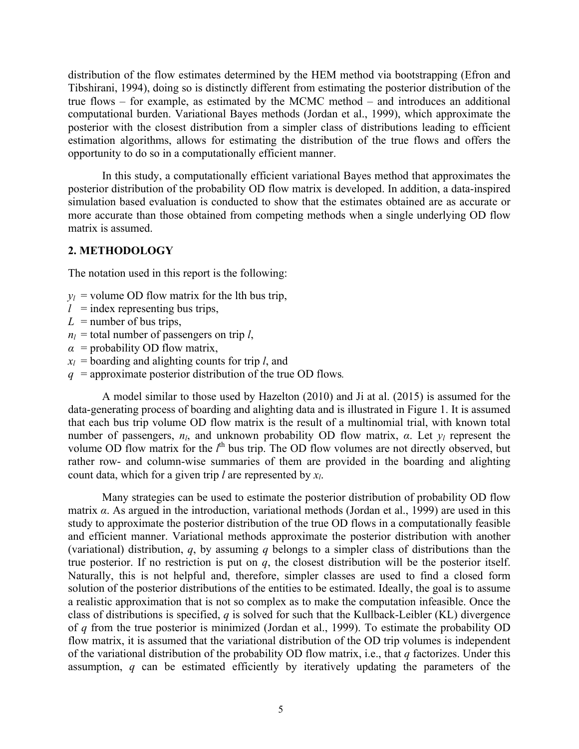distribution of the flow estimates determined by the HEM method via bootstrapping (Efron and Tibshirani, 1994), doing so is distinctly different from estimating the posterior distribution of the true flows – for example, as estimated by the MCMC method – and introduces an additional computational burden. Variational Bayes methods (Jordan et al., 1999), which approximate the posterior with the closest distribution from a simpler class of distributions leading to efficient estimation algorithms, allows for estimating the distribution of the true flows and offers the opportunity to do so in a computationally efficient manner.

In this study, a computationally efficient variational Bayes method that approximates the posterior distribution of the probability OD flow matrix is developed. In addition, a data-inspired simulation based evaluation is conducted to show that the estimates obtained are as accurate or more accurate than those obtained from competing methods when a single underlying OD flow matrix is assumed.

#### **2. METHODOLOGY**

The notation used in this report is the following:

- $y_l$  = volume OD flow matrix for the lth bus trip,
- $l =$  index representing bus trips,
- $L =$  number of bus trips,
- $n_l$  = total number of passengers on trip *l*,
- $\alpha$  = probability OD flow matrix,
- $x_l$  = boarding and alighting counts for trip *l*, and
- *q* = approximate posterior distribution of the true OD flows*.*

A model similar to those used by Hazelton (2010) and Ji at al. (2015) is assumed for the data-generating process of boarding and alighting data and is illustrated in Figure 1. It is assumed that each bus trip volume OD flow matrix is the result of a multinomial trial, with known total number of passengers, *nl*, and unknown probability OD flow matrix, *α*. Let *yl* represent the volume OD flow matrix for the *l*<sup>th</sup> bus trip. The OD flow volumes are not directly observed, but rather row- and column-wise summaries of them are provided in the boarding and alighting count data, which for a given trip *l* are represented by *xl*.

Many strategies can be used to estimate the posterior distribution of probability OD flow matrix *α*. As argued in the introduction, variational methods (Jordan et al., 1999) are used in this study to approximate the posterior distribution of the true OD flows in a computationally feasible and efficient manner. Variational methods approximate the posterior distribution with another (variational) distribution, *q*, by assuming *q* belongs to a simpler class of distributions than the true posterior. If no restriction is put on *q*, the closest distribution will be the posterior itself. Naturally, this is not helpful and, therefore, simpler classes are used to find a closed form solution of the posterior distributions of the entities to be estimated. Ideally, the goal is to assume a realistic approximation that is not so complex as to make the computation infeasible. Once the class of distributions is specified, *q* is solved for such that the Kullback-Leibler (KL) divergence of *q* from the true posterior is minimized (Jordan et al., 1999). To estimate the probability OD flow matrix, it is assumed that the variational distribution of the OD trip volumes is independent of the variational distribution of the probability OD flow matrix, i.e., that *q* factorizes. Under this assumption, *q* can be estimated efficiently by iteratively updating the parameters of the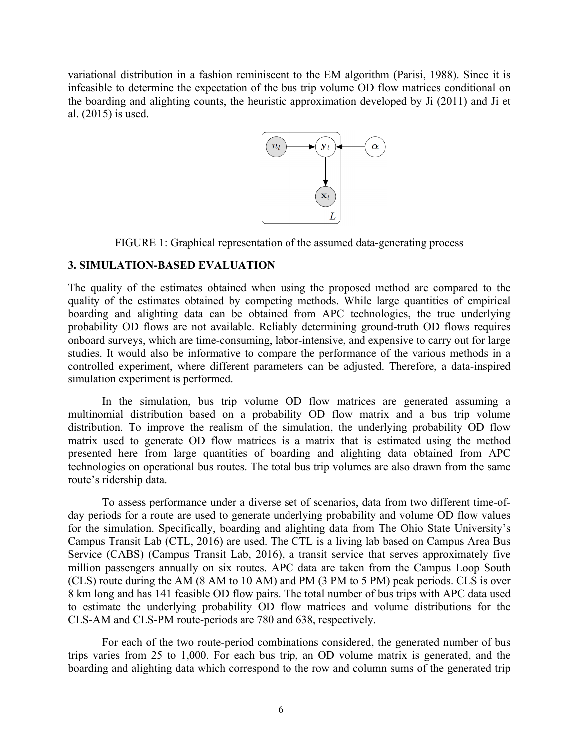variational distribution in a fashion reminiscent to the EM algorithm (Parisi, 1988). Since it is infeasible to determine the expectation of the bus trip volume OD flow matrices conditional on the boarding and alighting counts, the heuristic approximation developed by Ji (2011) and Ji et al. (2015) is used.



FIGURE 1: Graphical representation of the assumed data-generating process

## **3. SIMULATION-BASED EVALUATION**

The quality of the estimates obtained when using the proposed method are compared to the quality of the estimates obtained by competing methods. While large quantities of empirical boarding and alighting data can be obtained from APC technologies, the true underlying probability OD flows are not available. Reliably determining ground-truth OD flows requires onboard surveys, which are time-consuming, labor-intensive, and expensive to carry out for large studies. It would also be informative to compare the performance of the various methods in a controlled experiment, where different parameters can be adjusted. Therefore, a data-inspired simulation experiment is performed.

In the simulation, bus trip volume OD flow matrices are generated assuming a multinomial distribution based on a probability OD flow matrix and a bus trip volume distribution. To improve the realism of the simulation, the underlying probability OD flow matrix used to generate OD flow matrices is a matrix that is estimated using the method presented here from large quantities of boarding and alighting data obtained from APC technologies on operational bus routes. The total bus trip volumes are also drawn from the same route's ridership data.

To assess performance under a diverse set of scenarios, data from two different time-ofday periods for a route are used to generate underlying probability and volume OD flow values for the simulation. Specifically, boarding and alighting data from The Ohio State University's Campus Transit Lab (CTL, 2016) are used. The CTL is a living lab based on Campus Area Bus Service (CABS) (Campus Transit Lab, 2016), a transit service that serves approximately five million passengers annually on six routes. APC data are taken from the Campus Loop South (CLS) route during the AM (8 AM to 10 AM) and PM (3 PM to 5 PM) peak periods. CLS is over 8 km long and has 141 feasible OD flow pairs. The total number of bus trips with APC data used to estimate the underlying probability OD flow matrices and volume distributions for the CLS-AM and CLS-PM route-periods are 780 and 638, respectively.

For each of the two route-period combinations considered, the generated number of bus trips varies from 25 to 1,000. For each bus trip, an OD volume matrix is generated, and the boarding and alighting data which correspond to the row and column sums of the generated trip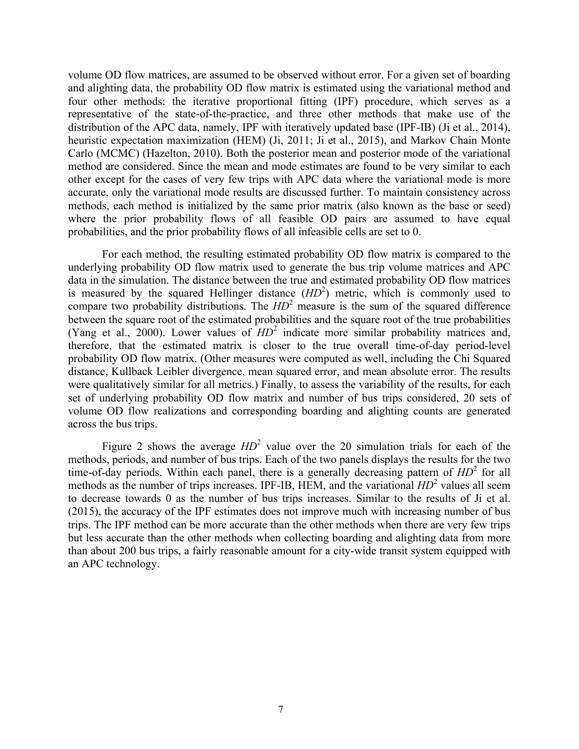volume OD flow matrices, are assumed to be observed without error. For a given set of boarding and alighting data, the probability OD flow matrix is estimated using the variational method and four other methods: the iterative proportional fitting (IPF) procedure, which serves as a representative of the state-of-the-practice, and three other methods that make use of the distribution of the APC data, namely, IPF with iteratively updated base (IPF-IB) (Ji et al., 2014), heuristic expectation maximization (HEM) (Ji, 2011; Ji et al., 2015), and Markov Chain Monte Carlo (MCMC) (Hazelton, 2010). Both the posterior mean and posterior mode of the variational method are considered. Since the mean and mode estimates are found to be very similar to each other except for the cases of very few trips with APC data where the variational mode is more accurate, only the variational mode results are discussed further. To maintain consistency across methods, each method is initialized by the same prior matrix (also known as the base or seed) where the prior probability flows of all feasible OD pairs are assumed to have equal probabilities, and the prior probability flows of all infeasible cells are set to 0.

For each method, the resulting estimated probability OD flow matrix is compared to the underlying probability OD flow matrix used to generate the bus trip volume matrices and APC data in the simulation. The distance between the true and estimated probability OD flow matrices is measured by the squared Hellinger distance  $(HD<sup>2</sup>)$  metric, which is commonly used to compare two probability distributions. The *HD*<sup>2</sup> measure is the sum of the squared difference between the square root of the estimated probabilities and the square root of the true probabilities (Yang et al., 2000). Lower values of *HD*<sup>2</sup> indicate more similar probability matrices and, therefore, that the estimated matrix is closer to the true overall time-of-day period-level probability OD flow matrix. (Other measures were computed as well, including the Chi Squared distance, Kullback Leibler divergence, mean squared error, and mean absolute error. The results were qualitatively similar for all metrics.) Finally, to assess the variability of the results, for each set of underlying probability OD flow matrix and number of bus trips considered, 20 sets of volume OD flow realizations and corresponding boarding and alighting counts are generated across the bus trips.

Figure 2 shows the average  $HD^2$  value over the 20 simulation trials for each of the methods, periods, and number of bus trips. Each of the two panels displays the results for the two time-of-day periods. Within each panel, there is a generally decreasing pattern of *HD*<sup>2</sup> for all methods as the number of trips increases. IPF-IB, HEM, and the variational  $HD^2$  values all seem to decrease towards 0 as the number of bus trips increases. Similar to the results of Ji et al. (2015), the accuracy of the IPF estimates does not improve much with increasing number of bus trips. The IPF method can be more accurate than the other methods when there are very few trips but less accurate than the other methods when collecting boarding and alighting data from more than about 200 bus trips, a fairly reasonable amount for a city-wide transit system equipped with an APC technology.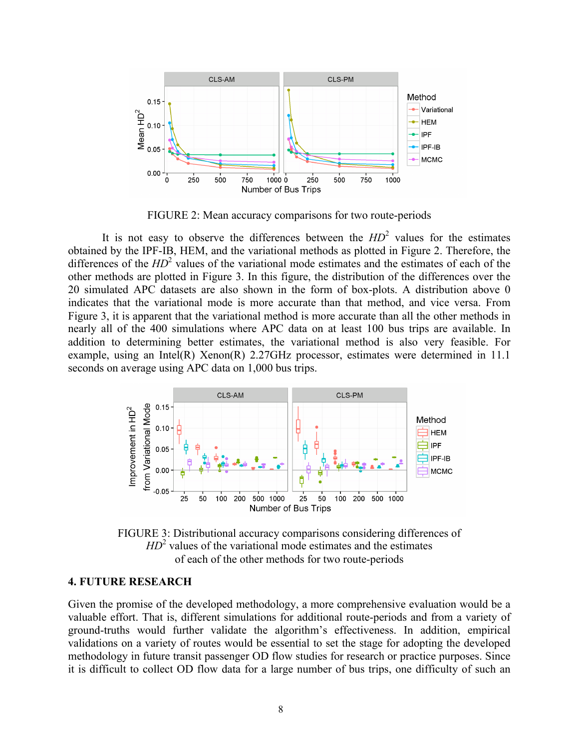

FIGURE 2: Mean accuracy comparisons for two route-periods

It is not easy to observe the differences between the  $HD<sup>2</sup>$  values for the estimates obtained by the IPF-IB, HEM, and the variational methods as plotted in Figure 2. Therefore, the differences of the  $HD^2$  values of the variational mode estimates and the estimates of each of the other methods are plotted in Figure 3. In this figure, the distribution of the differences over the 20 simulated APC datasets are also shown in the form of box-plots. A distribution above 0 indicates that the variational mode is more accurate than that method, and vice versa. From Figure 3, it is apparent that the variational method is more accurate than all the other methods in nearly all of the 400 simulations where APC data on at least 100 bus trips are available. In addition to determining better estimates, the variational method is also very feasible. For example, using an Intel(R) Xenon(R) 2.27GHz processor, estimates were determined in 11.1 seconds on average using APC data on 1,000 bus trips.



FIGURE 3: Distributional accuracy comparisons considering differences of  $HD<sup>2</sup>$  values of the variational mode estimates and the estimates of each of the other methods for two route-periods

#### **4. FUTURE RESEARCH**

Given the promise of the developed methodology, a more comprehensive evaluation would be a valuable effort. That is, different simulations for additional route-periods and from a variety of ground-truths would further validate the algorithm's effectiveness. In addition, empirical validations on a variety of routes would be essential to set the stage for adopting the developed methodology in future transit passenger OD flow studies for research or practice purposes. Since it is difficult to collect OD flow data for a large number of bus trips, one difficulty of such an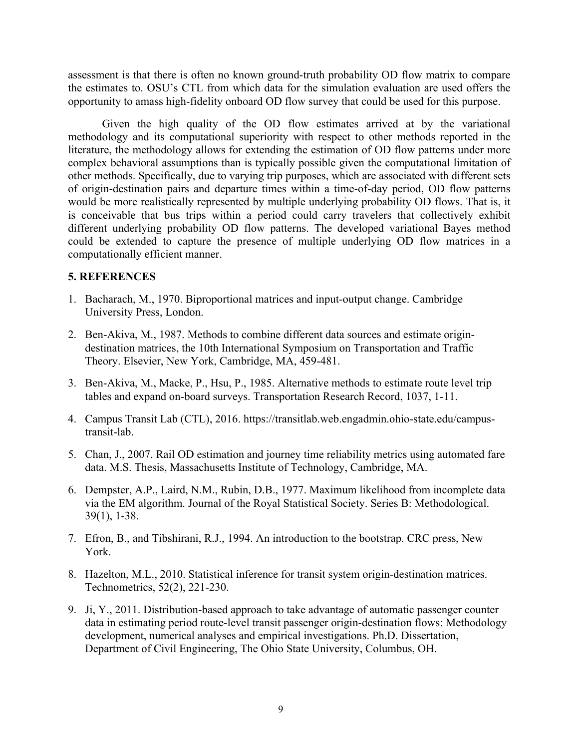assessment is that there is often no known ground-truth probability OD flow matrix to compare the estimates to. OSU's CTL from which data for the simulation evaluation are used offers the opportunity to amass high-fidelity onboard OD flow survey that could be used for this purpose.

Given the high quality of the OD flow estimates arrived at by the variational methodology and its computational superiority with respect to other methods reported in the literature, the methodology allows for extending the estimation of OD flow patterns under more complex behavioral assumptions than is typically possible given the computational limitation of other methods. Specifically, due to varying trip purposes, which are associated with different sets of origin-destination pairs and departure times within a time-of-day period, OD flow patterns would be more realistically represented by multiple underlying probability OD flows. That is, it is conceivable that bus trips within a period could carry travelers that collectively exhibit different underlying probability OD flow patterns. The developed variational Bayes method could be extended to capture the presence of multiple underlying OD flow matrices in a computationally efficient manner.

#### **5. REFERENCES**

- 1. Bacharach, M., 1970. Biproportional matrices and input-output change. Cambridge University Press, London.
- 2. Ben-Akiva, M., 1987. Methods to combine different data sources and estimate origindestination matrices, the 10th International Symposium on Transportation and Traffic Theory. Elsevier, New York, Cambridge, MA, 459-481.
- 3. Ben-Akiva, M., Macke, P., Hsu, P., 1985. Alternative methods to estimate route level trip tables and expand on-board surveys. Transportation Research Record, 1037, 1-11.
- 4. Campus Transit Lab (CTL), 2016. https://transitlab.web.engadmin.ohio-state.edu/campustransit-lab.
- 5. Chan, J., 2007. Rail OD estimation and journey time reliability metrics using automated fare data. M.S. Thesis, Massachusetts Institute of Technology, Cambridge, MA.
- 6. Dempster, A.P., Laird, N.M., Rubin, D.B., 1977. Maximum likelihood from incomplete data via the EM algorithm. Journal of the Royal Statistical Society. Series B: Methodological. 39(1), 1-38.
- 7. Efron, B., and Tibshirani, R.J., 1994. An introduction to the bootstrap. CRC press, New York.
- 8. Hazelton, M.L., 2010. Statistical inference for transit system origin-destination matrices. Technometrics, 52(2), 221-230.
- 9. Ji, Y., 2011. Distribution-based approach to take advantage of automatic passenger counter data in estimating period route-level transit passenger origin-destination flows: Methodology development, numerical analyses and empirical investigations. Ph.D. Dissertation, Department of Civil Engineering, The Ohio State University, Columbus, OH.